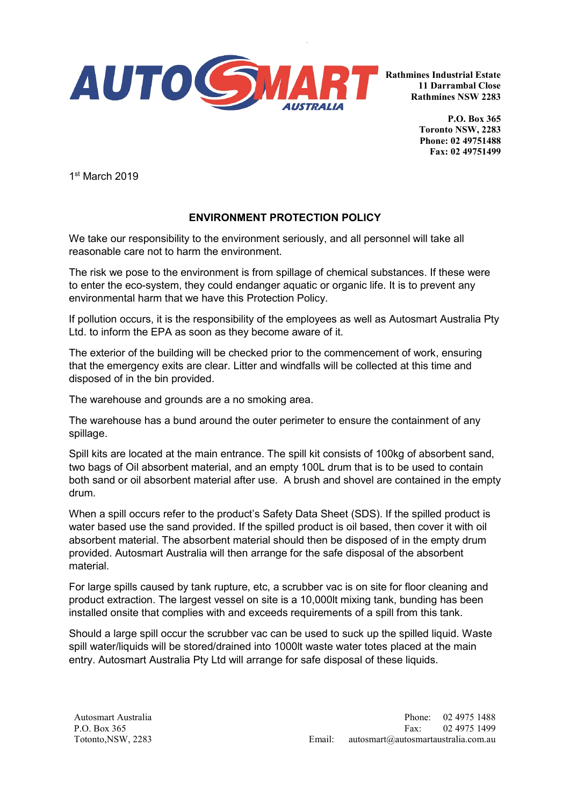

**Rathmines Industrial Estate 11 Darrambal Close Rathmines NSW 2283**

> **P.O. Box 365 Toronto NSW, 2283 Phone: 02 49751488 Fax: 02 49751499**

1st March 2019

## **ENVIRONMENT PROTECTION POLICY**

We take our responsibility to the environment seriously, and all personnel will take all reasonable care not to harm the environment.

The risk we pose to the environment is from spillage of chemical substances. If these were to enter the eco-system, they could endanger aquatic or organic life. It is to prevent any environmental harm that we have this Protection Policy.

If pollution occurs, it is the responsibility of the employees as well as Autosmart Australia Pty Ltd. to inform the EPA as soon as they become aware of it.

The exterior of the building will be checked prior to the commencement of work, ensuring that the emergency exits are clear. Litter and windfalls will be collected at this time and disposed of in the bin provided.

The warehouse and grounds are a no smoking area.

The warehouse has a bund around the outer perimeter to ensure the containment of any spillage.

Spill kits are located at the main entrance. The spill kit consists of 100kg of absorbent sand, two bags of Oil absorbent material, and an empty 100L drum that is to be used to contain both sand or oil absorbent material after use. A brush and shovel are contained in the empty drum.

When a spill occurs refer to the product's Safety Data Sheet (SDS). If the spilled product is water based use the sand provided. If the spilled product is oil based, then cover it with oil absorbent material. The absorbent material should then be disposed of in the empty drum provided. Autosmart Australia will then arrange for the safe disposal of the absorbent material.

For large spills caused by tank rupture, etc, a scrubber vac is on site for floor cleaning and product extraction. The largest vessel on site is a 10,000lt mixing tank, bunding has been installed onsite that complies with and exceeds requirements of a spill from this tank.

Should a large spill occur the scrubber vac can be used to suck up the spilled liquid. Waste spill water/liquids will be stored/drained into 1000lt waste water totes placed at the main entry. Autosmart Australia Pty Ltd will arrange for safe disposal of these liquids.

Autosmart Australia P.O. Box 365 Totonto,NSW, 2283